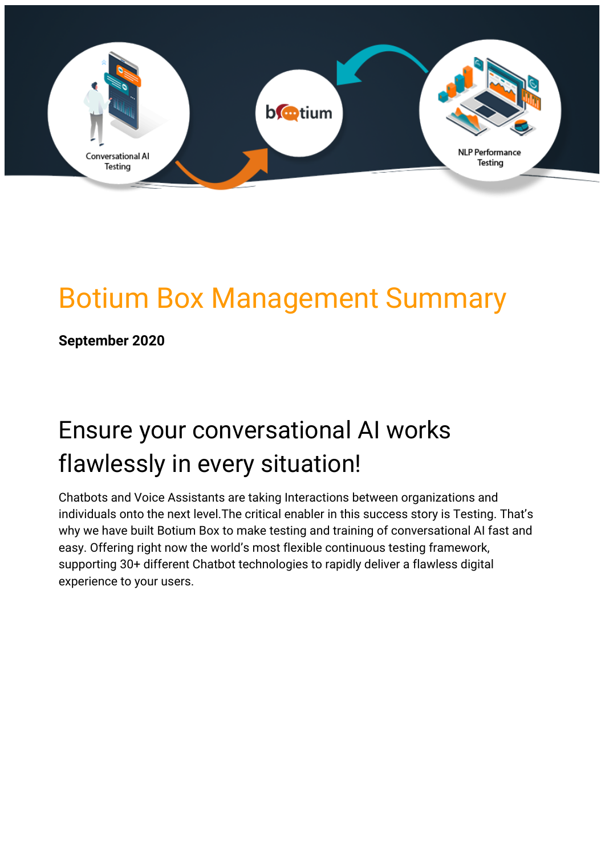

# Botium Box Management Summary

**September 2020**

# Ensure your conversational AI works flawlessly in every situation!

Chatbots and Voice Assistants are taking Interactions between organizations and individuals onto the next level.The critical enabler in this success story is Testing. That's why we have built Botium Box to make testing and training of conversational AI fast and easy. Offering right now the world's most flexible continuous testing framework, supporting 30+ different Chatbot technologies to rapidly deliver a flawless digital experience to your users.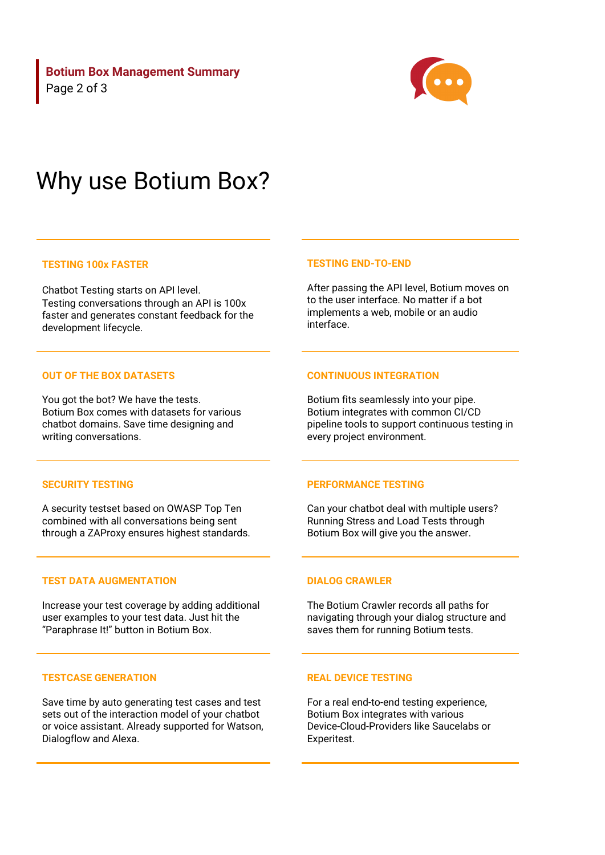**Botium Box Management Summary** Page 2 of 3



# Why use Botium Box?

## **TESTING 100x FASTER**

Chatbot Testing starts on API level. Testing conversations through an API is 100x faster and generates constant feedback for the development lifecycle.

#### **OUT OF THE BOX DATASETS**

You got the bot? We have the tests. Botium Box comes with datasets for various chatbot domains. Save time designing and writing conversations.

#### **TESTING END-TO-END**

After passing the API level, Botium moves on to the user interface. No matter if a bot implements a web, mobile or an audio interface.

### **CONTINUOUS INTEGRATION**

Botium fits seamlessly into your pipe. Botium integrates with common CI/CD pipeline tools to support continuous testing in every project environment.

#### **SECURITY TESTING**

A security testset based on OWASP Top Ten combined with all conversations being sent through a ZAProxy ensures highest standards.

#### **TEST DATA AUGMENTATION**

Increase your test coverage by adding additional user examples to your test data. Just hit the "Paraphrase It!" button in Botium Box.

### **TESTCASE GENERATION**

Save time by auto generating test cases and test sets out of the interaction model of your chatbot or voice assistant. Already supported for Watson, Dialogflow and Alexa.

#### **PERFORMANCE TESTING**

Can your chatbot deal with multiple users? Running Stress and Load Tests through Botium Box will give you the answer.

#### **DIALOG CRAWLER**

The Botium Crawler records all paths for navigating through your dialog structure and saves them for running Botium tests.

### **REAL DEVICE TESTING**

For a real end-to-end testing experience, Botium Box integrates with various Device-Cloud-Providers like Saucelabs or Experitest.